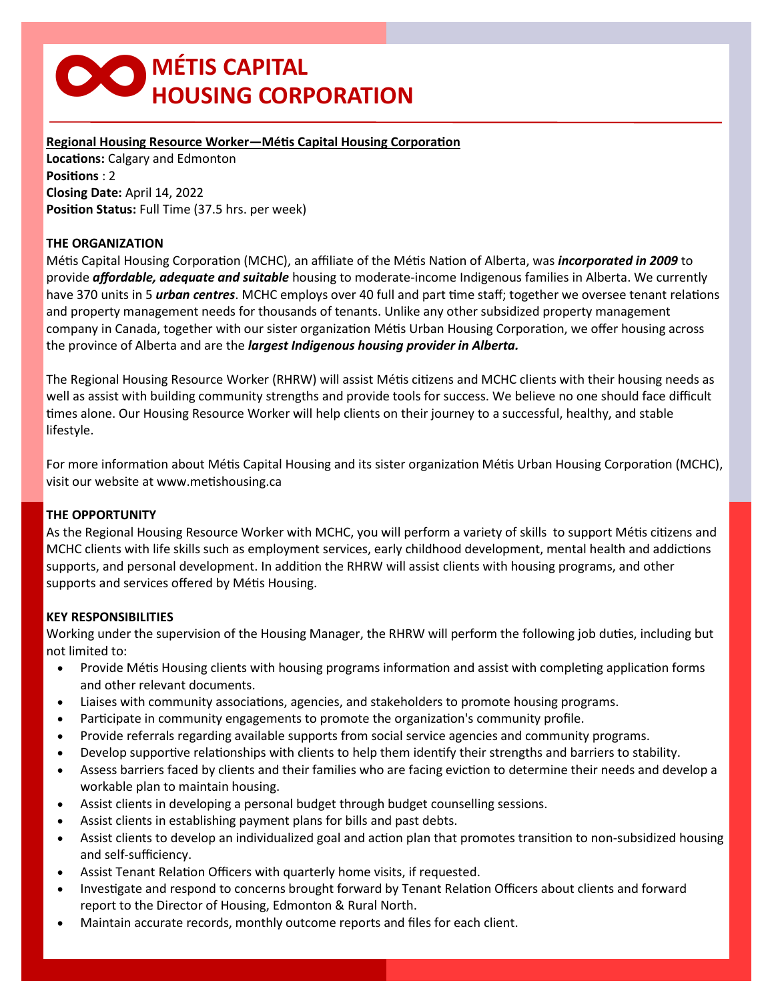# **∞MÉTIS CAPITAL HOUSING CORPORATION**

# **Regional Housing Resource Worker—Métis Capital Housing Corporation**

**Locations:** Calgary and Edmonton **Positions** : 2 **Closing Date:** April 14, 2022 **Position Status:** Full Time (37.5 hrs. per week)

# **THE ORGANIZATION**

Métis Capital Housing Corporation (MCHC), an affiliate of the Métis Nation of Alberta, was *incorporated in 2009* to provide *affordable, adequate and suitable* housing to moderate-income Indigenous families in Alberta. We currently have 370 units in 5 *urban centres*. MCHC employs over 40 full and part time staff; together we oversee tenant relations and property management needs for thousands of tenants. Unlike any other subsidized property management company in Canada, together with our sister organization Métis Urban Housing Corporation, we offer housing across the province of Alberta and are the *largest Indigenous housing provider in Alberta.*

The Regional Housing Resource Worker (RHRW) will assist Métis citizens and MCHC clients with their housing needs as well as assist with building community strengths and provide tools for success. We believe no one should face difficult times alone. Our Housing Resource Worker will help clients on their journey to a successful, healthy, and stable lifestyle.

For more information about Métis Capital Housing and its sister organization Métis Urban Housing Corporation (MCHC), visit our website at www.metishousing.ca

# **THE OPPORTUNITY**

As the Regional Housing Resource Worker with MCHC, you will perform a variety of skills to support Métis citizens and MCHC clients with life skills such as employment services, early childhood development, mental health and addictions supports, and personal development. In addition the RHRW will assist clients with housing programs, and other supports and services offered by Métis Housing.

# **KEY RESPONSIBILITIES**

Working under the supervision of the Housing Manager, the RHRW will perform the following job duties, including but not limited to:

- Provide Métis Housing clients with housing programs information and assist with completing application forms and other relevant documents.
- Liaises with community associations, agencies, and stakeholders to promote housing programs.
- Participate in community engagements to promote the organization's community profile.
- Provide referrals regarding available supports from social service agencies and community programs.
- Develop supportive relationships with clients to help them identify their strengths and barriers to stability.
- Assess barriers faced by clients and their families who are facing eviction to determine their needs and develop a workable plan to maintain housing.
- Assist clients in developing a personal budget through budget counselling sessions.
- Assist clients in establishing payment plans for bills and past debts.
- Assist clients to develop an individualized goal and action plan that promotes transition to non-subsidized housing and self-sufficiency.
- Assist Tenant Relation Officers with quarterly home visits, if requested.
- Investigate and respond to concerns brought forward by Tenant Relation Officers about clients and forward report to the Director of Housing, Edmonton & Rural North.
- Maintain accurate records, monthly outcome reports and files for each client.